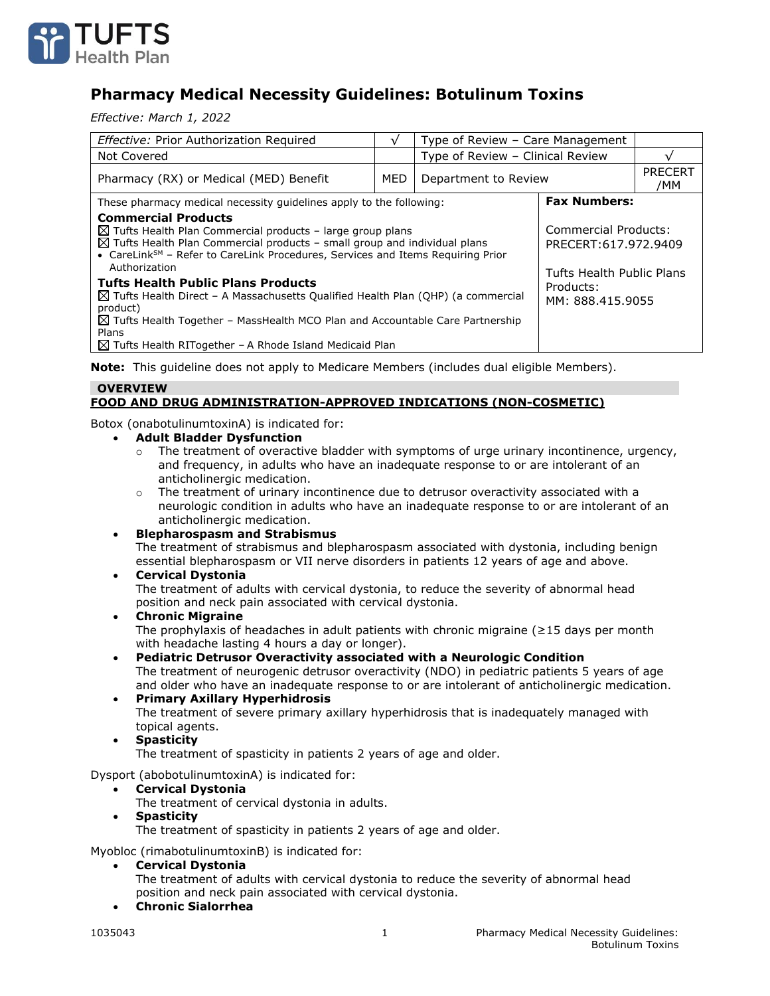

# **Pharmacy Medical Necessity Guidelines: Botulinum Toxins**

*Effective: March 1, 2022*

| <i>Effective:</i> Prior Authorization Required                                                                                                                                                                                                                                                              |     | Type of Review - Care Management                           |                                               |                       |
|-------------------------------------------------------------------------------------------------------------------------------------------------------------------------------------------------------------------------------------------------------------------------------------------------------------|-----|------------------------------------------------------------|-----------------------------------------------|-----------------------|
| Not Covered                                                                                                                                                                                                                                                                                                 |     | Type of Review - Clinical Review                           |                                               | $\mathcal{U}$         |
| Pharmacy (RX) or Medical (MED) Benefit                                                                                                                                                                                                                                                                      | MED | Department to Review                                       |                                               | <b>PRECERT</b><br>/MM |
| These pharmacy medical necessity quidelines apply to the following:                                                                                                                                                                                                                                         |     |                                                            | <b>Fax Numbers:</b>                           |                       |
| <b>Commercial Products</b><br>$\boxtimes$ Tufts Health Plan Commercial products - large group plans<br>$\boxtimes$ Tufts Health Plan Commercial products – small group and individual plans<br>• CareLink <sup>SM</sup> - Refer to CareLink Procedures, Services and Items Requiring Prior<br>Authorization |     |                                                            | Commercial Products:<br>PRECERT: 617.972.9409 |                       |
| <b>Tufts Health Public Plans Products</b><br>$\boxtimes$ Tufts Health Direct – A Massachusetts Qualified Health Plan (OHP) (a commercial<br>product)<br>$\boxtimes$ Tufts Health Together – MassHealth MCO Plan and Accountable Care Partnership<br>Plans                                                   |     | Tufts Health Public Plans<br>Products:<br>MM: 888.415.9055 |                                               |                       |
| $\boxtimes$ Tufts Health RITogether – A Rhode Island Medicaid Plan                                                                                                                                                                                                                                          |     |                                                            |                                               |                       |

**Note:** This guideline does not apply to Medicare Members (includes dual eligible Members).

#### **OVERVIEW FOOD AND DRUG ADMINISTRATION-APPROVED INDICATIONS (NON-COSMETIC)**

Botox (onabotulinumtoxinA) is indicated for:

- **Adult Bladder Dysfunction**
	- $\circ$  The treatment of overactive bladder with symptoms of urge urinary incontinence, urgency, and frequency, in adults who have an inadequate response to or are intolerant of an anticholinergic medication.
	- $\circ$  The treatment of urinary incontinence due to detrusor overactivity associated with a neurologic condition in adults who have an inadequate response to or are intolerant of an anticholinergic medication.
- **Blepharospasm and Strabismus**

The treatment of strabismus and blepharospasm associated with dystonia, including benign essential blepharospasm or VII nerve disorders in patients 12 years of age and above.

- **Cervical Dystonia** The treatment of adults with cervical dystonia, to reduce the severity of abnormal head position and neck pain associated with cervical dystonia.
- **Chronic Migraine**

The prophylaxis of headaches in adult patients with chronic migraine (≥15 days per month with headache lasting 4 hours a day or longer).

• **Pediatric Detrusor Overactivity associated with a Neurologic Condition** The treatment of neurogenic detrusor overactivity (NDO) in pediatric patients 5 years of age and older who have an inadequate response to or are intolerant of anticholinergic medication.

• **Primary Axillary Hyperhidrosis** The treatment of severe primary axillary hyperhidrosis that is inadequately managed with

topical agents. • **Spasticity**

The treatment of spasticity in patients 2 years of age and older.

Dysport (abobotulinumtoxinA) is indicated for:

- **Cervical Dystonia**
	- The treatment of cervical dystonia in adults.
- **Spasticity**

The treatment of spasticity in patients 2 years of age and older.

Myobloc (rimabotulinumtoxinB) is indicated for:

- **Cervical Dystonia** The treatment of adults with cervical dystonia to reduce the severity of abnormal head position and neck pain associated with cervical dystonia.
- **Chronic Sialorrhea**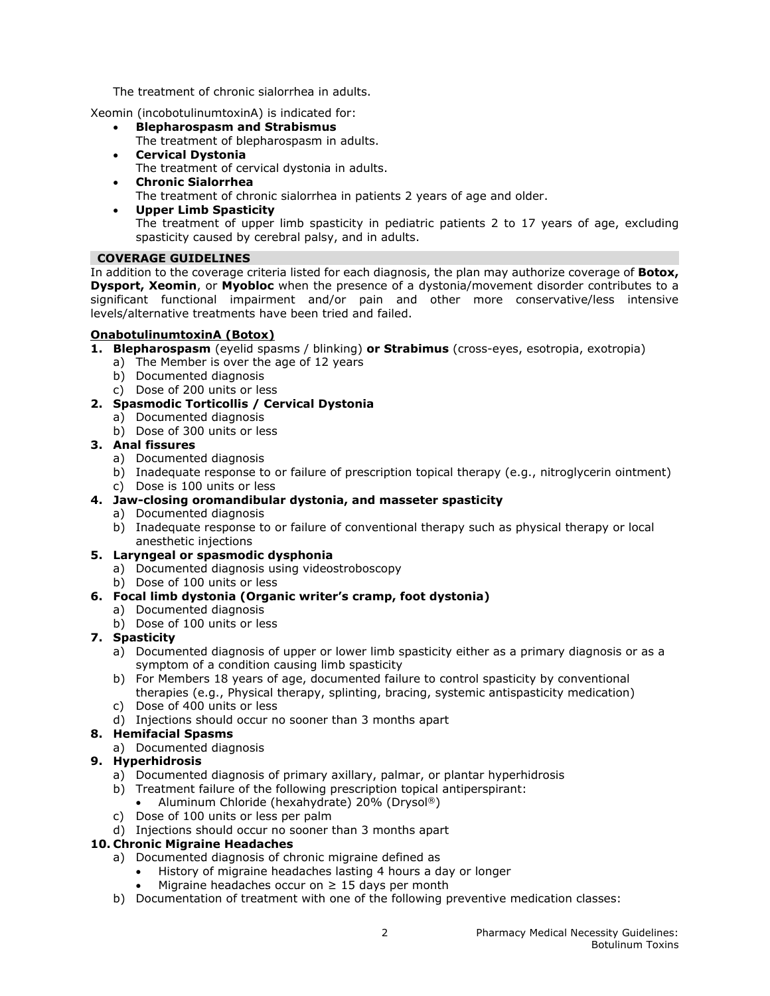The treatment of chronic sialorrhea in adults.

Xeomin (incobotulinumtoxinA) is indicated for:

- **Blepharospasm and Strabismus** The treatment of blepharospasm in adults.
- **Cervical Dystonia** The treatment of cervical dystonia in adults.
- **Chronic Sialorrhea** The treatment of chronic sialorrhea in patients 2 years of age and older.
- **Upper Limb Spasticity** The treatment of upper limb spasticity in pediatric patients 2 to 17 years of age, excluding spasticity caused by cerebral palsy, and in adults.

### **COVERAGE GUIDELINES**

In addition to the coverage criteria listed for each diagnosis, the plan may authorize coverage of **Botox, Dysport, Xeomin**, or **Myobloc** when the presence of a dystonia/movement disorder contributes to a significant functional impairment and/or pain and other more conservative/less intensive levels/alternative treatments have been tried and failed.

### **OnabotulinumtoxinA (Botox)**

- **1. Blepharospasm** (eyelid spasms / blinking) **or Strabimus** (cross-eyes, esotropia, exotropia)
	- a) The Member is over the age of 12 years
	- b) Documented diagnosis
	- c) Dose of 200 units or less
- **2. Spasmodic Torticollis / Cervical Dystonia**
	- a) Documented diagnosis
	- b) Dose of 300 units or less
- **3. Anal fissures**
	- a) Documented diagnosis
	- b) Inadequate response to or failure of prescription topical therapy (e.g., nitroglycerin ointment)
	- c) Dose is 100 units or less

### **4. Jaw-closing oromandibular dystonia, and masseter spasticity**

- a) Documented diagnosis
- b) Inadequate response to or failure of conventional therapy such as physical therapy or local anesthetic injections
- **5. Laryngeal or spasmodic dysphonia**
	- a) Documented diagnosis using videostroboscopy
	- b) Dose of 100 units or less

### **6. Focal limb dystonia (Organic writer's cramp, foot dystonia)**

- a) Documented diagnosis
- b) Dose of 100 units or less

### **7. Spasticity**

- a) Documented diagnosis of upper or lower limb spasticity either as a primary diagnosis or as a symptom of a condition causing limb spasticity
- b) For Members 18 years of age, documented failure to control spasticity by conventional therapies (e.g., Physical therapy, splinting, bracing, systemic antispasticity medication)
- c) Dose of 400 units or less
- d) Injections should occur no sooner than 3 months apart

## **8. Hemifacial Spasms**

a) Documented diagnosis

### **9. Hyperhidrosis**

- a) Documented diagnosis of primary axillary, palmar, or plantar hyperhidrosis
- b) Treatment failure of the following prescription topical antiperspirant:
	- Aluminum Chloride (hexahydrate) 20% (Drysol®)
- c) Dose of 100 units or less per palm
- d) Injections should occur no sooner than 3 months apart

### **10. Chronic Migraine Headaches**

- a) Documented diagnosis of chronic migraine defined as
	- History of migraine headaches lasting 4 hours a day or longer
		- Migraine headaches occur on  $\geq 15$  days per month
- b) Documentation of treatment with one of the following preventive medication classes: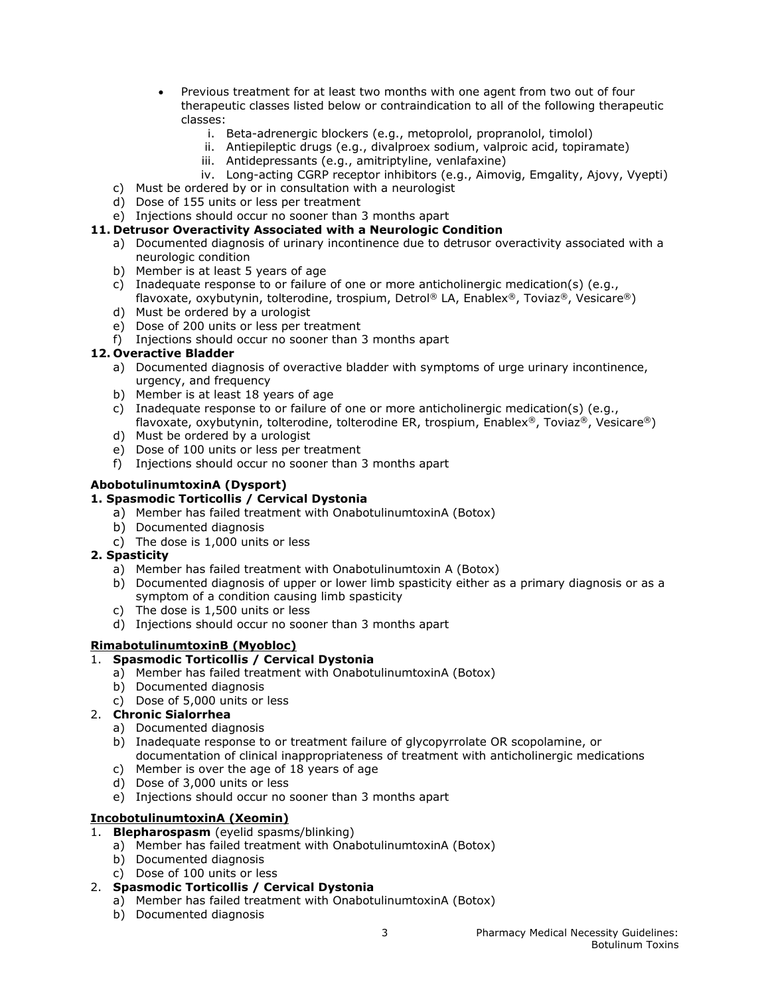- Previous treatment for at least two months with one agent from two out of four therapeutic classes listed below or contraindication to all of the following therapeutic classes:
	- i. Beta-adrenergic blockers (e.g., metoprolol, propranolol, timolol)
	- ii. Antiepileptic drugs (e.g., divalproex sodium, valproic acid, topiramate)
	- iii. Antidepressants (e.g., amitriptyline, venlafaxine)
	- iv. Long-acting CGRP receptor inhibitors (e.g., Aimovig, Emgality, Ajovy, Vyepti)
- c) Must be ordered by or in consultation with a neurologist
- d) Dose of 155 units or less per treatment
- e) Injections should occur no sooner than 3 months apart

#### **11. Detrusor Overactivity Associated with a Neurologic Condition**

- a) Documented diagnosis of urinary incontinence due to detrusor overactivity associated with a neurologic condition
- b) Member is at least 5 years of age
- c) Inadequate response to or failure of one or more anticholinergic medication(s) (e.g., flavoxate, oxybutynin, tolterodine, trospium, Detrol® LA, Enablex®, Toviaz®, Vesicare®)
- d) Must be ordered by a urologist
- e) Dose of 200 units or less per treatment
- f) Injections should occur no sooner than 3 months apart

#### **12. Overactive Bladder**

- a) Documented diagnosis of overactive bladder with symptoms of urge urinary incontinence, urgency, and frequency
- b) Member is at least 18 years of age
- c) Inadequate response to or failure of one or more anticholinergic medication(s) (e.g., flavoxate, oxybutynin, tolterodine, tolterodine ER, trospium, Enablex®, Toviaz®, Vesicare®)
- d) Must be ordered by a urologist
- e) Dose of 100 units or less per treatment
- f) Injections should occur no sooner than 3 months apart

### **AbobotulinumtoxinA (Dysport)**

### **1. Spasmodic Torticollis / Cervical Dystonia**

- a) Member has failed treatment with OnabotulinumtoxinA (Botox)
- b) Documented diagnosis
- c) The dose is 1,000 units or less

#### **2. Spasticity**

- a) Member has failed treatment with Onabotulinumtoxin A (Botox)
- b) Documented diagnosis of upper or lower limb spasticity either as a primary diagnosis or as a symptom of a condition causing limb spasticity
- c) The dose is 1,500 units or less
- d) Injections should occur no sooner than 3 months apart

### **RimabotulinumtoxinB (Myobloc)**

### 1. **Spasmodic Torticollis / Cervical Dystonia**

- a) Member has failed treatment with OnabotulinumtoxinA (Botox)
- b) Documented diagnosis
- c) Dose of 5,000 units or less

### 2. **Chronic Sialorrhea**

- a) Documented diagnosis
- b) Inadequate response to or treatment failure of glycopyrrolate OR scopolamine, or documentation of clinical inappropriateness of treatment with anticholinergic medications
- c) Member is over the age of 18 years of age
- d) Dose of 3,000 units or less
- e) Injections should occur no sooner than 3 months apart

### **IncobotulinumtoxinA (Xeomin)**

- 1. **Blepharospasm** (eyelid spasms/blinking)
	- a) Member has failed treatment with OnabotulinumtoxinA (Botox)
	- b) Documented diagnosis
	- c) Dose of 100 units or less

### 2. **Spasmodic Torticollis / Cervical Dystonia**

- a) Member has failed treatment with OnabotulinumtoxinA (Botox)
- b) Documented diagnosis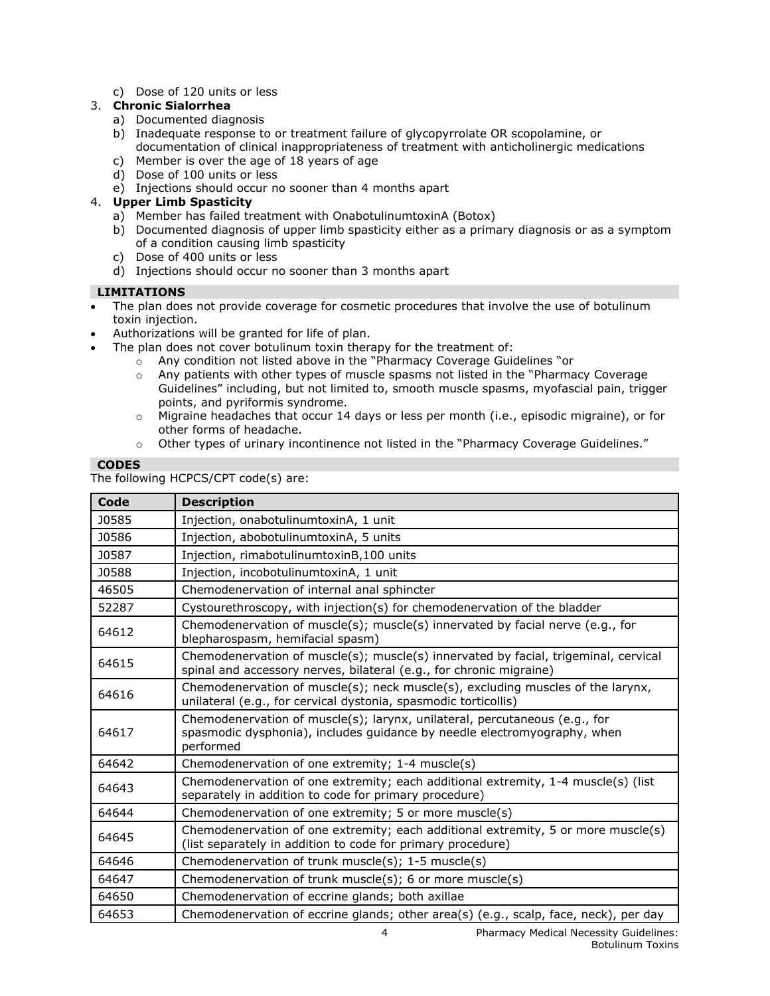c) Dose of 120 units or less

### 3. **Chronic Sialorrhea**

- a) Documented diagnosis
- b) Inadequate response to or treatment failure of glycopyrrolate OR scopolamine, or documentation of clinical inappropriateness of treatment with anticholinergic medications
- c) Member is over the age of 18 years of age
- d) Dose of 100 units or less
- e) Injections should occur no sooner than 4 months apart

### 4. **Upper Limb Spasticity**

- a) Member has failed treatment with OnabotulinumtoxinA (Botox)
- b) Documented diagnosis of upper limb spasticity either as a primary diagnosis or as a symptom of a condition causing limb spasticity
- c) Dose of 400 units or less
- d) Injections should occur no sooner than 3 months apart

#### **LIMITATIONS**

- The plan does not provide coverage for cosmetic procedures that involve the use of botulinum toxin injection.
- Authorizations will be granted for life of plan.
	- The plan does not cover botulinum toxin therapy for the treatment of:
		- o Any condition not listed above in the "Pharmacy Coverage Guidelines "or
			- $\circ$  Any patients with other types of muscle spasms not listed in the "Pharmacy Coverage" Guidelines" including, but not limited to, smooth muscle spasms, myofascial pain, trigger points, and pyriformis syndrome.
			- o Migraine headaches that occur 14 days or less per month (i.e., episodic migraine), or for other forms of headache.
			- o Other types of urinary incontinence not listed in the "Pharmacy Coverage Guidelines."

### **CODES**

The following HCPCS/CPT code(s) are:

| Code         | <b>Description</b>                                                                                                                                                  |
|--------------|---------------------------------------------------------------------------------------------------------------------------------------------------------------------|
| <b>J0585</b> | Injection, onabotulinumtoxinA, 1 unit                                                                                                                               |
| <b>J0586</b> | Injection, abobotulinumtoxinA, 5 units                                                                                                                              |
| J0587        | Injection, rimabotulinumtoxinB,100 units                                                                                                                            |
| 10588        | Injection, incobotulinumtoxinA, 1 unit                                                                                                                              |
| 46505        | Chemodenervation of internal anal sphincter                                                                                                                         |
| 52287        | Cystourethroscopy, with injection(s) for chemodenervation of the bladder                                                                                            |
| 64612        | Chemodenervation of muscle(s); muscle(s) innervated by facial nerve (e.g., for<br>blepharospasm, hemifacial spasm)                                                  |
| 64615        | Chemodenervation of muscle(s); muscle(s) innervated by facial, trigeminal, cervical<br>spinal and accessory nerves, bilateral (e.g., for chronic migraine)          |
| 64616        | Chemodenervation of muscle(s); neck muscle(s), excluding muscles of the larynx,<br>unilateral (e.g., for cervical dystonia, spasmodic torticollis)                  |
| 64617        | Chemodenervation of muscle(s); larynx, unilateral, percutaneous (e.g., for<br>spasmodic dysphonia), includes guidance by needle electromyography, when<br>performed |
| 64642        | Chemodenervation of one extremity; 1-4 muscle(s)                                                                                                                    |
| 64643        | Chemodenervation of one extremity; each additional extremity, 1-4 muscle(s) (list<br>separately in addition to code for primary procedure)                          |
| 64644        | Chemodenervation of one extremity; 5 or more muscle(s)                                                                                                              |
| 64645        | Chemodenervation of one extremity; each additional extremity, 5 or more muscle(s)<br>(list separately in addition to code for primary procedure)                    |
| 64646        | Chemodenervation of trunk muscle(s); 1-5 muscle(s)                                                                                                                  |
| 64647        | Chemodenervation of trunk muscle(s); 6 or more muscle(s)                                                                                                            |
| 64650        | Chemodenervation of eccrine glands; both axillae                                                                                                                    |
| 64653        | Chemodenervation of eccrine glands; other area(s) (e.g., scalp, face, neck), per day                                                                                |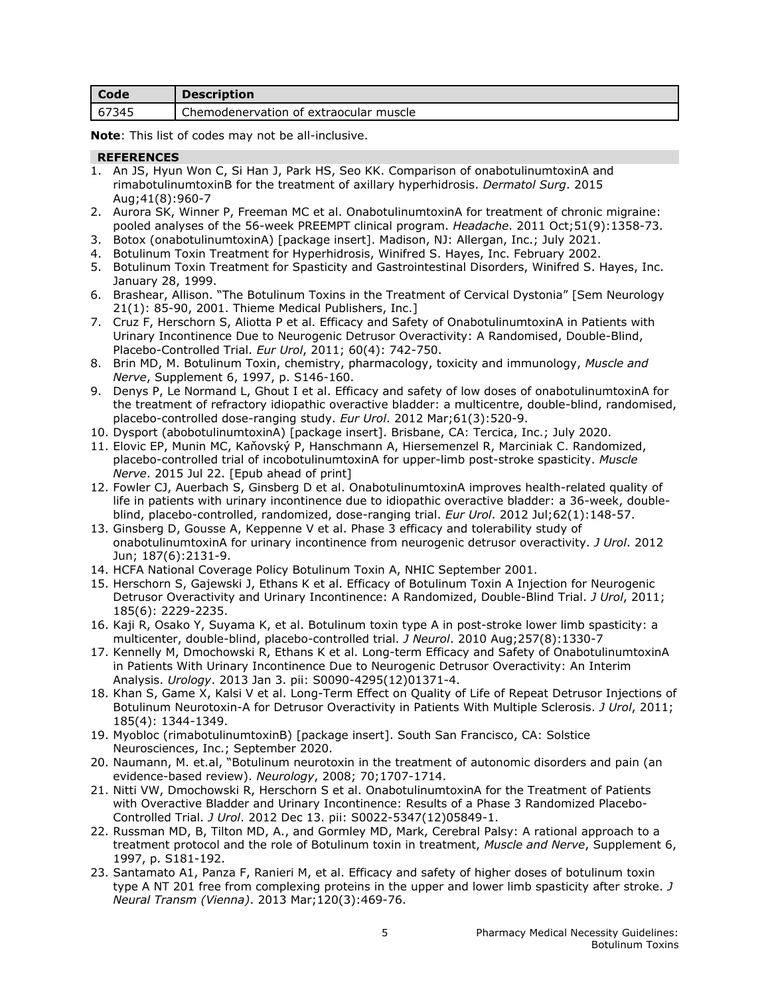| Code  | <b>Description</b>                     |
|-------|----------------------------------------|
| 67345 | Chemodenervation of extraocular muscle |

**Note**: This list of codes may not be all-inclusive.

#### **REFERENCES**

- 1. An JS, Hyun Won C, Si Han J, Park HS, Seo KK. Comparison of onabotulinumtoxinA and rimabotulinumtoxinB for the treatment of axillary hyperhidrosis. *Dermatol Surg*. 2015 Aug;41(8):960-7
- 2. Aurora SK, Winner P, Freeman MC et al. OnabotulinumtoxinA for treatment of chronic migraine: pooled analyses of the 56-week PREEMPT clinical program. *Headache*. 2011 Oct;51(9):1358-73.
- 3. Botox (onabotulinumtoxinA) [package insert]. Madison, NJ: Allergan, Inc.; July 2021.
- 4. Botulinum Toxin Treatment for Hyperhidrosis, Winifred S. Hayes, Inc. February 2002.
- 5. Botulinum Toxin Treatment for Spasticity and Gastrointestinal Disorders, Winifred S. Hayes, Inc. January 28, 1999.
- 6. Brashear, Allison. "The Botulinum Toxins in the Treatment of Cervical Dystonia" [Sem Neurology 21(1): 85-90, 2001. Thieme Medical Publishers, Inc.]
- 7. Cruz F, Herschorn S, Aliotta P et al. Efficacy and Safety of OnabotulinumtoxinA in Patients with Urinary Incontinence Due to Neurogenic Detrusor Overactivity: A Randomised, Double-Blind, Placebo-Controlled Trial. *Eur Urol*, 2011; 60(4): 742-750.
- 8. Brin MD, M. Botulinum Toxin, chemistry, pharmacology, toxicity and immunology, *Muscle and Nerve*, Supplement 6, 1997, p. S146-160.
- 9. Denys P, Le Normand L, Ghout I et al. Efficacy and safety of low doses of onabotulinumtoxinA for the treatment of refractory idiopathic overactive bladder: a multicentre, double-blind, randomised, placebo-controlled dose-ranging study. *Eur Urol*. 2012 Mar;61(3):520-9.
- 10. Dysport (abobotulinumtoxinA) [package insert]. Brisbane, CA: Tercica, Inc.; July 2020.
- 11. Elovic EP, Munin MC, Kaňovský P, Hanschmann A, Hiersemenzel R, Marciniak C. Randomized, placebo-controlled trial of incobotulinumtoxinA for upper-limb post-stroke spasticity. *Muscle Nerve*. 2015 Jul 22. [Epub ahead of print]
- 12. Fowler CJ, Auerbach S, Ginsberg D et al. OnabotulinumtoxinA improves health-related quality of life in patients with urinary incontinence due to idiopathic overactive bladder: a 36-week, doubleblind, placebo-controlled, randomized, dose-ranging trial. *Eur Urol*. 2012 Jul;62(1):148-57.
- 13. Ginsberg D, Gousse A, Keppenne V et al. Phase 3 efficacy and tolerability study of onabotulinumtoxinA for urinary incontinence from neurogenic detrusor overactivity. *J Urol*. 2012 Jun; 187(6):2131-9.
- 14. HCFA National Coverage Policy Botulinum Toxin A, NHIC September 2001.
- 15. Herschorn S, Gajewski J, Ethans K et al. Efficacy of Botulinum Toxin A Injection for Neurogenic Detrusor Overactivity and Urinary Incontinence: A Randomized, Double-Blind Trial. *J Urol*, 2011; 185(6): 2229-2235.
- 16. Kaji R, Osako Y, Suyama K, et al. Botulinum toxin type A in post-stroke lower limb spasticity: a multicenter, double-blind, placebo-controlled trial. *J Neurol*. 2010 Aug;257(8):1330-7
- 17. Kennelly M, Dmochowski R, Ethans K et al. Long-term Efficacy and Safety of OnabotulinumtoxinA in Patients With Urinary Incontinence Due to Neurogenic Detrusor Overactivity: An Interim Analysis. *Urology*. 2013 Jan 3. pii: S0090-4295(12)01371-4.
- 18. Khan S, Game X, Kalsi V et al. Long-Term Effect on Quality of Life of Repeat Detrusor Injections of Botulinum Neurotoxin-A for Detrusor Overactivity in Patients With Multiple Sclerosis. *J Urol*, 2011; 185(4): 1344-1349.
- 19. Myobloc (rimabotulinumtoxinB) [package insert]. South San Francisco, CA: Solstice Neurosciences, Inc.; September 2020.
- 20. Naumann, M. et.al, "Botulinum neurotoxin in the treatment of autonomic disorders and pain (an evidence-based review). *Neurology*, 2008; 70;1707-1714.
- 21. Nitti VW, Dmochowski R, Herschorn S et al. OnabotulinumtoxinA for the Treatment of Patients with Overactive Bladder and Urinary Incontinence: Results of a Phase 3 Randomized Placebo-Controlled Trial. *J Urol*. 2012 Dec 13. pii: S0022-5347(12)05849-1.
- 22. Russman MD, B, Tilton MD, A., and Gormley MD, Mark, Cerebral Palsy: A rational approach to a treatment protocol and the role of Botulinum toxin in treatment, *Muscle and Nerve*, Supplement 6, 1997, p. S181-192.
- 23. Santamato A1, Panza F, Ranieri M, et al. Efficacy and safety of higher doses of botulinum toxin type A NT 201 free from complexing proteins in the upper and lower limb spasticity after stroke. *J Neural Transm (Vienna)*. 2013 Mar;120(3):469-76.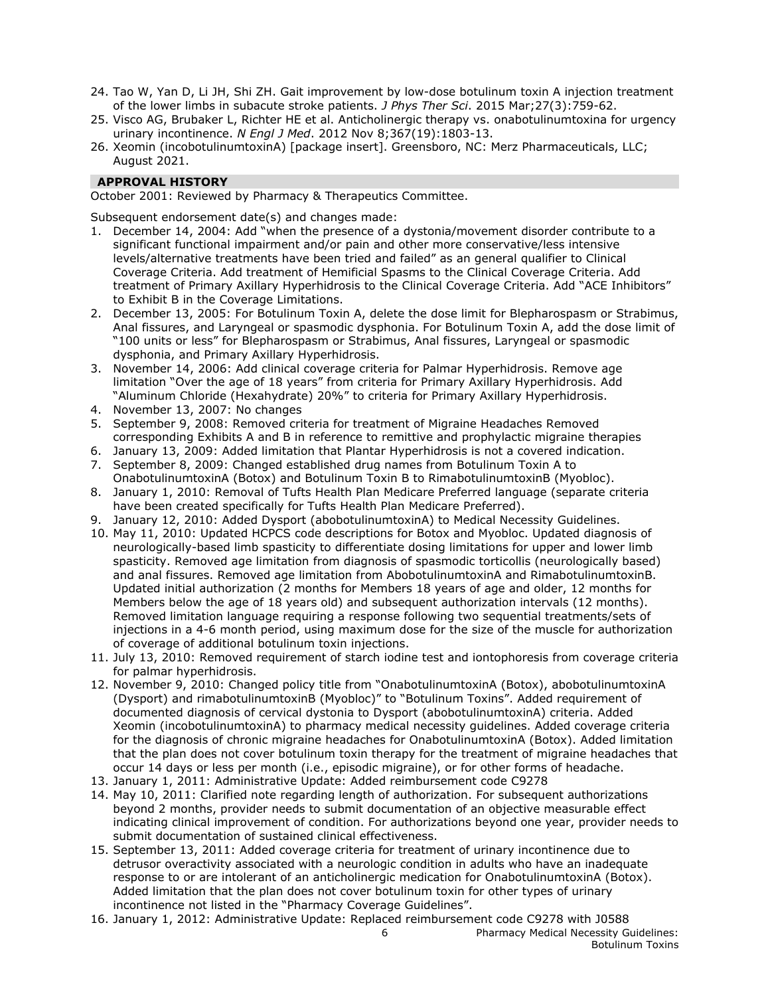- 24. Tao W, Yan D, Li JH, Shi ZH. Gait improvement by low-dose botulinum toxin A injection treatment of the lower limbs in subacute stroke patients. *J Phys Ther Sci*. 2015 Mar;27(3):759-62.
- 25. Visco AG, Brubaker L, Richter HE et al. Anticholinergic therapy vs. onabotulinumtoxina for urgency urinary incontinence. *N Engl J Med*. 2012 Nov 8;367(19):1803-13.
- 26. Xeomin (incobotulinumtoxinA) [package insert]. Greensboro, NC: Merz Pharmaceuticals, LLC; August 2021.

#### **APPROVAL HISTORY**

October 2001: Reviewed by Pharmacy & Therapeutics Committee.

Subsequent endorsement date(s) and changes made:

- 1. December 14, 2004: Add "when the presence of a dystonia/movement disorder contribute to a significant functional impairment and/or pain and other more conservative/less intensive levels/alternative treatments have been tried and failed" as an general qualifier to Clinical Coverage Criteria. Add treatment of Hemificial Spasms to the Clinical Coverage Criteria. Add treatment of Primary Axillary Hyperhidrosis to the Clinical Coverage Criteria. Add "ACE Inhibitors" to Exhibit B in the Coverage Limitations.
- 2. December 13, 2005: For Botulinum Toxin A, delete the dose limit for Blepharospasm or Strabimus, Anal fissures, and Laryngeal or spasmodic dysphonia. For Botulinum Toxin A, add the dose limit of "100 units or less" for Blepharospasm or Strabimus, Anal fissures, Laryngeal or spasmodic dysphonia, and Primary Axillary Hyperhidrosis.
- 3. November 14, 2006: Add clinical coverage criteria for Palmar Hyperhidrosis. Remove age limitation "Over the age of 18 years" from criteria for Primary Axillary Hyperhidrosis. Add "Aluminum Chloride (Hexahydrate) 20%" to criteria for Primary Axillary Hyperhidrosis.
- 4. November 13, 2007: No changes
- 5. September 9, 2008: Removed criteria for treatment of Migraine Headaches Removed corresponding Exhibits A and B in reference to remittive and prophylactic migraine therapies
- 6. January 13, 2009: Added limitation that Plantar Hyperhidrosis is not a covered indication.
- 7. September 8, 2009: Changed established drug names from Botulinum Toxin A to OnabotulinumtoxinA (Botox) and Botulinum Toxin B to RimabotulinumtoxinB (Myobloc).
- 8. January 1, 2010: Removal of Tufts Health Plan Medicare Preferred language (separate criteria have been created specifically for Tufts Health Plan Medicare Preferred).
- 9. January 12, 2010: Added Dysport (abobotulinumtoxinA) to Medical Necessity Guidelines.
- 10. May 11, 2010: Updated HCPCS code descriptions for Botox and Myobloc. Updated diagnosis of neurologically-based limb spasticity to differentiate dosing limitations for upper and lower limb spasticity. Removed age limitation from diagnosis of spasmodic torticollis (neurologically based) and anal fissures. Removed age limitation from AbobotulinumtoxinA and RimabotulinumtoxinB. Updated initial authorization (2 months for Members 18 years of age and older, 12 months for Members below the age of 18 years old) and subsequent authorization intervals (12 months). Removed limitation language requiring a response following two sequential treatments/sets of injections in a 4-6 month period, using maximum dose for the size of the muscle for authorization of coverage of additional botulinum toxin injections.
- 11. July 13, 2010: Removed requirement of starch iodine test and iontophoresis from coverage criteria for palmar hyperhidrosis.
- 12. November 9, 2010: Changed policy title from "OnabotulinumtoxinA (Botox), abobotulinumtoxinA (Dysport) and rimabotulinumtoxinB (Myobloc)" to "Botulinum Toxins". Added requirement of documented diagnosis of cervical dystonia to Dysport (abobotulinumtoxinA) criteria. Added Xeomin (incobotulinumtoxinA) to pharmacy medical necessity guidelines. Added coverage criteria for the diagnosis of chronic migraine headaches for OnabotulinumtoxinA (Botox). Added limitation that the plan does not cover botulinum toxin therapy for the treatment of migraine headaches that occur 14 days or less per month (i.e., episodic migraine), or for other forms of headache.
- 13. January 1, 2011: Administrative Update: Added reimbursement code C9278
- 14. May 10, 2011: Clarified note regarding length of authorization. For subsequent authorizations beyond 2 months, provider needs to submit documentation of an objective measurable effect indicating clinical improvement of condition. For authorizations beyond one year, provider needs to submit documentation of sustained clinical effectiveness.
- 15. September 13, 2011: Added coverage criteria for treatment of urinary incontinence due to detrusor overactivity associated with a neurologic condition in adults who have an inadequate response to or are intolerant of an anticholinergic medication for OnabotulinumtoxinA (Botox). Added limitation that the plan does not cover botulinum toxin for other types of urinary incontinence not listed in the "Pharmacy Coverage Guidelines".
- 16. January 1, 2012: Administrative Update: Replaced reimbursement code C9278 with J0588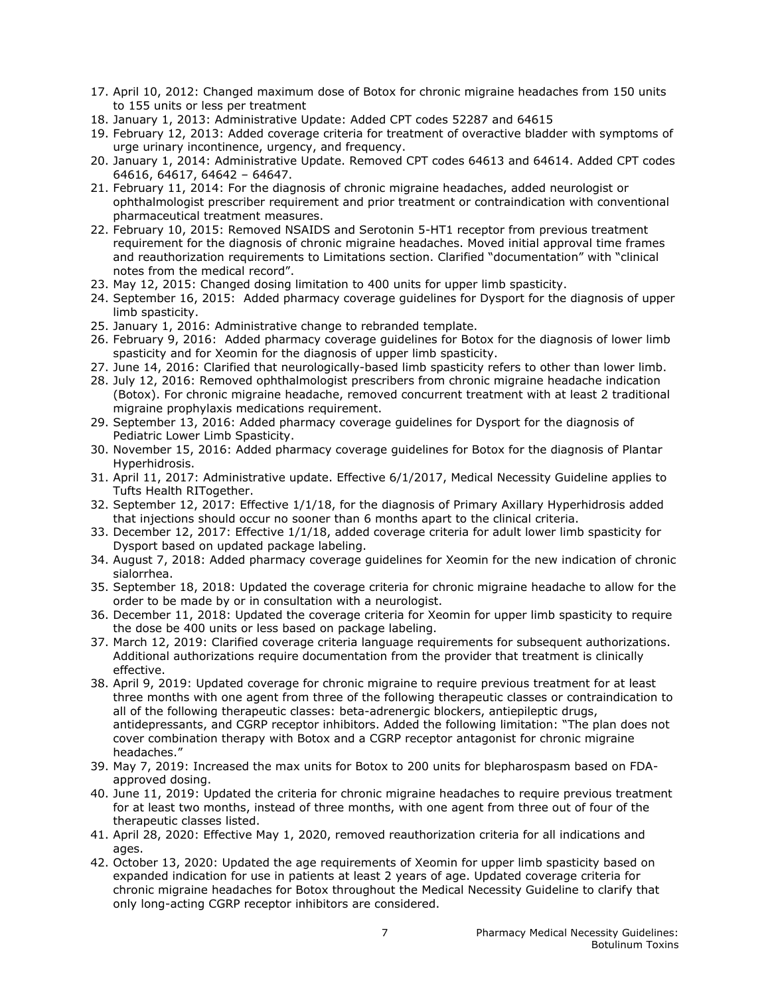- 17. April 10, 2012: Changed maximum dose of Botox for chronic migraine headaches from 150 units to 155 units or less per treatment
- 18. January 1, 2013: Administrative Update: Added CPT codes 52287 and 64615
- 19. February 12, 2013: Added coverage criteria for treatment of overactive bladder with symptoms of urge urinary incontinence, urgency, and frequency.
- 20. January 1, 2014: Administrative Update. Removed CPT codes 64613 and 64614. Added CPT codes 64616, 64617, 64642 – 64647.
- 21. February 11, 2014: For the diagnosis of chronic migraine headaches, added neurologist or ophthalmologist prescriber requirement and prior treatment or contraindication with conventional pharmaceutical treatment measures.
- 22. February 10, 2015: Removed NSAIDS and Serotonin 5-HT1 receptor from previous treatment requirement for the diagnosis of chronic migraine headaches. Moved initial approval time frames and reauthorization requirements to Limitations section. Clarified "documentation" with "clinical notes from the medical record".
- 23. May 12, 2015: Changed dosing limitation to 400 units for upper limb spasticity.
- 24. September 16, 2015: Added pharmacy coverage guidelines for Dysport for the diagnosis of upper limb spasticity.
- 25. January 1, 2016: Administrative change to rebranded template.
- 26. February 9, 2016: Added pharmacy coverage guidelines for Botox for the diagnosis of lower limb spasticity and for Xeomin for the diagnosis of upper limb spasticity.
- 27. June 14, 2016: Clarified that neurologically-based limb spasticity refers to other than lower limb.
- 28. July 12, 2016: Removed ophthalmologist prescribers from chronic migraine headache indication (Botox). For chronic migraine headache, removed concurrent treatment with at least 2 traditional migraine prophylaxis medications requirement.
- 29. September 13, 2016: Added pharmacy coverage guidelines for Dysport for the diagnosis of Pediatric Lower Limb Spasticity.
- 30. November 15, 2016: Added pharmacy coverage guidelines for Botox for the diagnosis of Plantar Hyperhidrosis.
- 31. April 11, 2017: Administrative update. Effective 6/1/2017, Medical Necessity Guideline applies to Tufts Health RITogether.
- 32. September 12, 2017: Effective 1/1/18, for the diagnosis of Primary Axillary Hyperhidrosis added that injections should occur no sooner than 6 months apart to the clinical criteria.
- 33. December 12, 2017: Effective 1/1/18, added coverage criteria for adult lower limb spasticity for Dysport based on updated package labeling.
- 34. August 7, 2018: Added pharmacy coverage guidelines for Xeomin for the new indication of chronic sialorrhea.
- 35. September 18, 2018: Updated the coverage criteria for chronic migraine headache to allow for the order to be made by or in consultation with a neurologist.
- 36. December 11, 2018: Updated the coverage criteria for Xeomin for upper limb spasticity to require the dose be 400 units or less based on package labeling.
- 37. March 12, 2019: Clarified coverage criteria language requirements for subsequent authorizations. Additional authorizations require documentation from the provider that treatment is clinically effective.
- 38. April 9, 2019: Updated coverage for chronic migraine to require previous treatment for at least three months with one agent from three of the following therapeutic classes or contraindication to all of the following therapeutic classes: beta-adrenergic blockers, antiepileptic drugs, antidepressants, and CGRP receptor inhibitors. Added the following limitation: "The plan does not cover combination therapy with Botox and a CGRP receptor antagonist for chronic migraine headaches."
- 39. May 7, 2019: Increased the max units for Botox to 200 units for blepharospasm based on FDAapproved dosing.
- 40. June 11, 2019: Updated the criteria for chronic migraine headaches to require previous treatment for at least two months, instead of three months, with one agent from three out of four of the therapeutic classes listed.
- 41. April 28, 2020: Effective May 1, 2020, removed reauthorization criteria for all indications and ages.
- 42. October 13, 2020: Updated the age requirements of Xeomin for upper limb spasticity based on expanded indication for use in patients at least 2 years of age. Updated coverage criteria for chronic migraine headaches for Botox throughout the Medical Necessity Guideline to clarify that only long-acting CGRP receptor inhibitors are considered.